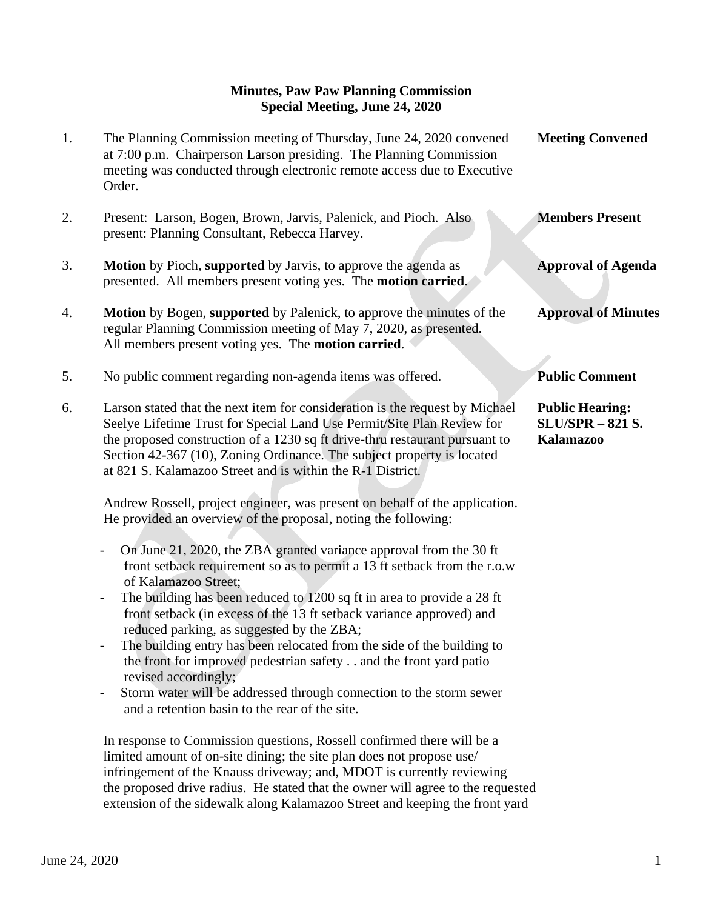## **Minutes, Paw Paw Planning Commission Special Meeting, June 24, 2020**

| 1. | The Planning Commission meeting of Thursday, June 24, 2020 convened<br>at 7:00 p.m. Chairperson Larson presiding. The Planning Commission<br>meeting was conducted through electronic remote access due to Executive<br>Order.                                                                                                                                                                                                                                                                                                                                                                                                                                                                                                                                                                                                                                                                                                                                          | <b>Meeting Convened</b>                                               |
|----|-------------------------------------------------------------------------------------------------------------------------------------------------------------------------------------------------------------------------------------------------------------------------------------------------------------------------------------------------------------------------------------------------------------------------------------------------------------------------------------------------------------------------------------------------------------------------------------------------------------------------------------------------------------------------------------------------------------------------------------------------------------------------------------------------------------------------------------------------------------------------------------------------------------------------------------------------------------------------|-----------------------------------------------------------------------|
| 2. | Present: Larson, Bogen, Brown, Jarvis, Palenick, and Pioch. Also<br>present: Planning Consultant, Rebecca Harvey.                                                                                                                                                                                                                                                                                                                                                                                                                                                                                                                                                                                                                                                                                                                                                                                                                                                       | <b>Members Present</b>                                                |
| 3. | <b>Motion</b> by Pioch, supported by Jarvis, to approve the agenda as<br>presented. All members present voting yes. The motion carried.                                                                                                                                                                                                                                                                                                                                                                                                                                                                                                                                                                                                                                                                                                                                                                                                                                 | <b>Approval of Agenda</b>                                             |
| 4. | <b>Motion</b> by Bogen, supported by Palenick, to approve the minutes of the<br>regular Planning Commission meeting of May 7, 2020, as presented.<br>All members present voting yes. The motion carried.                                                                                                                                                                                                                                                                                                                                                                                                                                                                                                                                                                                                                                                                                                                                                                | <b>Approval of Minutes</b>                                            |
| 5. | No public comment regarding non-agenda items was offered.                                                                                                                                                                                                                                                                                                                                                                                                                                                                                                                                                                                                                                                                                                                                                                                                                                                                                                               | <b>Public Comment</b>                                                 |
| 6. | Larson stated that the next item for consideration is the request by Michael<br>Seelye Lifetime Trust for Special Land Use Permit/Site Plan Review for<br>the proposed construction of a 1230 sq ft drive-thru restaurant pursuant to<br>Section 42-367 (10), Zoning Ordinance. The subject property is located<br>at 821 S. Kalamazoo Street and is within the R-1 District.<br>Andrew Rossell, project engineer, was present on behalf of the application.<br>He provided an overview of the proposal, noting the following:<br>On June 21, 2020, the ZBA granted variance approval from the 30 ft<br>$\qquad \qquad \blacksquare$<br>front setback requirement so as to permit a 13 ft setback from the r.o.w<br>of Kalamazoo Street;<br>The building has been reduced to 1200 sq ft in area to provide a 28 ft<br>$\qquad \qquad \blacksquare$<br>front setback (in excess of the 13 ft setback variance approved) and<br>reduced parking, as suggested by the ZBA; | <b>Public Hearing:</b><br><b>SLU/SPR - 821 S.</b><br><b>Kalamazoo</b> |
|    | The building entry has been relocated from the side of the building to<br>the front for improved pedestrian safety and the front yard patio<br>revised accordingly;                                                                                                                                                                                                                                                                                                                                                                                                                                                                                                                                                                                                                                                                                                                                                                                                     |                                                                       |
|    | Storm water will be addressed through connection to the storm sewer<br>$\qquad \qquad -$<br>and a retention basin to the rear of the site.                                                                                                                                                                                                                                                                                                                                                                                                                                                                                                                                                                                                                                                                                                                                                                                                                              |                                                                       |
|    | In response to Commission questions, Rossell confirmed there will be a<br>limited amount of on-site dining; the site plan does not propose use/<br>infringement of the Knauss driveway; and, MDOT is currently reviewing                                                                                                                                                                                                                                                                                                                                                                                                                                                                                                                                                                                                                                                                                                                                                |                                                                       |

 the proposed drive radius. He stated that the owner will agree to the requested extension of the sidewalk along Kalamazoo Street and keeping the front yard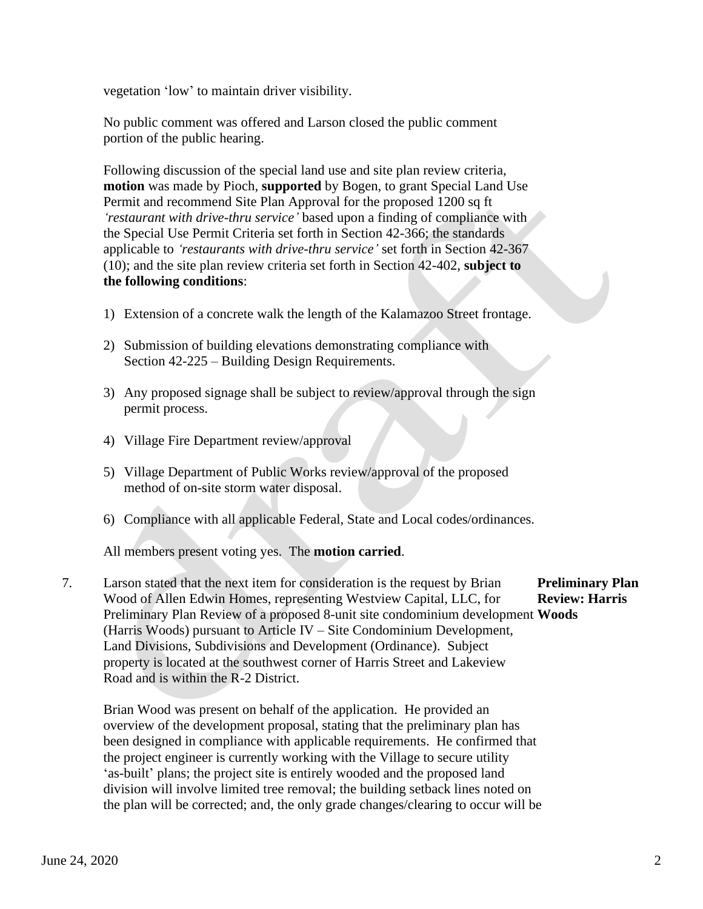vegetation 'low' to maintain driver visibility.

 No public comment was offered and Larson closed the public comment portion of the public hearing.

 Following discussion of the special land use and site plan review criteria, **motion** was made by Pioch, **supported** by Bogen, to grant Special Land Use Permit and recommend Site Plan Approval for the proposed 1200 sq ft *'restaurant with drive-thru service'* based upon a finding of compliance with the Special Use Permit Criteria set forth in Section 42-366; the standards applicable to *'restaurants with drive-thru service'* set forth in Section 42-367 (10); and the site plan review criteria set forth in Section 42-402, **subject to the following conditions**:

- 1) Extension of a concrete walk the length of the Kalamazoo Street frontage.
- 2) Submission of building elevations demonstrating compliance with Section 42-225 – Building Design Requirements.
- 3) Any proposed signage shall be subject to review/approval through the sign permit process.
- 4) Village Fire Department review/approval
- 5) Village Department of Public Works review/approval of the proposed method of on-site storm water disposal.
- 6) Compliance with all applicable Federal, State and Local codes/ordinances.

All members present voting yes. The **motion carried**.

7. Larson stated that the next item for consideration is the request by Brian **Preliminary Plan** Wood of Allen Edwin Homes, representing Westview Capital, LLC, for **Review: Harris** Preliminary Plan Review of a proposed 8-unit site condominium development **Woods** (Harris Woods) pursuant to Article IV – Site Condominium Development, Land Divisions, Subdivisions and Development (Ordinance). Subject property is located at the southwest corner of Harris Street and Lakeview Road and is within the R-2 District.

 Brian Wood was present on behalf of the application. He provided an overview of the development proposal, stating that the preliminary plan has been designed in compliance with applicable requirements. He confirmed that the project engineer is currently working with the Village to secure utility 'as-built' plans; the project site is entirely wooded and the proposed land division will involve limited tree removal; the building setback lines noted on the plan will be corrected; and, the only grade changes/clearing to occur will be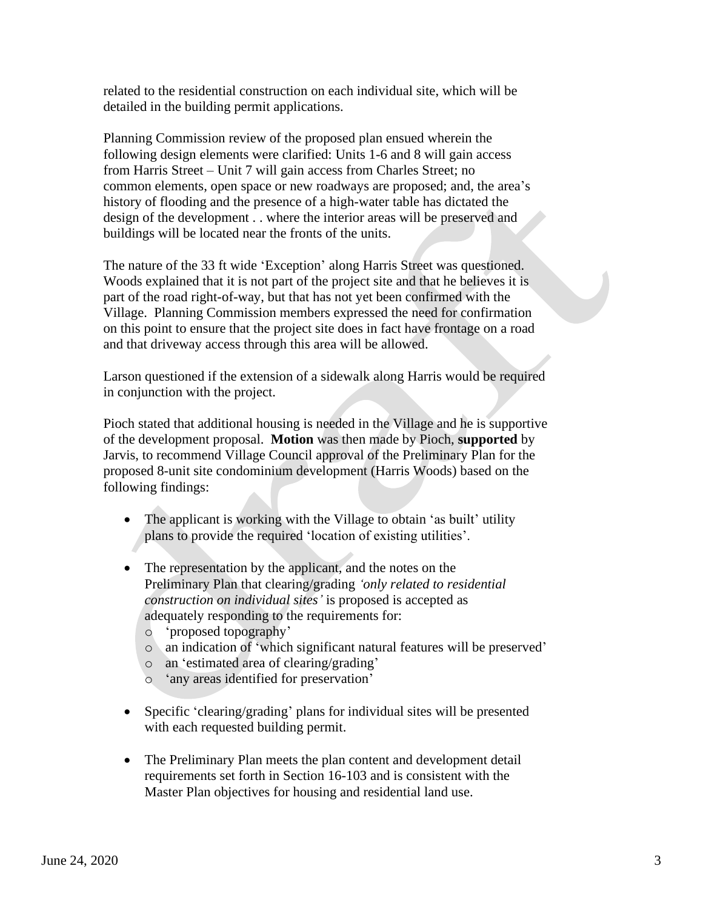related to the residential construction on each individual site, which will be detailed in the building permit applications.

 Planning Commission review of the proposed plan ensued wherein the following design elements were clarified: Units 1-6 and 8 will gain access from Harris Street – Unit 7 will gain access from Charles Street; no common elements, open space or new roadways are proposed; and, the area's history of flooding and the presence of a high-water table has dictated the design of the development . . where the interior areas will be preserved and buildings will be located near the fronts of the units.

 The nature of the 33 ft wide 'Exception' along Harris Street was questioned. Woods explained that it is not part of the project site and that he believes it is part of the road right-of-way, but that has not yet been confirmed with the Village. Planning Commission members expressed the need for confirmation on this point to ensure that the project site does in fact have frontage on a road and that driveway access through this area will be allowed.

 Larson questioned if the extension of a sidewalk along Harris would be required in conjunction with the project.

 Pioch stated that additional housing is needed in the Village and he is supportive of the development proposal. **Motion** was then made by Pioch, **supported** by Jarvis, to recommend Village Council approval of the Preliminary Plan for the proposed 8-unit site condominium development (Harris Woods) based on the following findings:

- The applicant is working with the Village to obtain 'as built' utility plans to provide the required 'location of existing utilities'.
- The representation by the applicant, and the notes on the Preliminary Plan that clearing/grading *'only related to residential construction on individual sites'* is proposed is accepted as adequately responding to the requirements for:
	- o 'proposed topography'
	- o an indication of 'which significant natural features will be preserved'
	- o an 'estimated area of clearing/grading'
	- o 'any areas identified for preservation'
- Specific 'clearing/grading' plans for individual sites will be presented with each requested building permit.
- The Preliminary Plan meets the plan content and development detail requirements set forth in Section 16-103 and is consistent with the Master Plan objectives for housing and residential land use.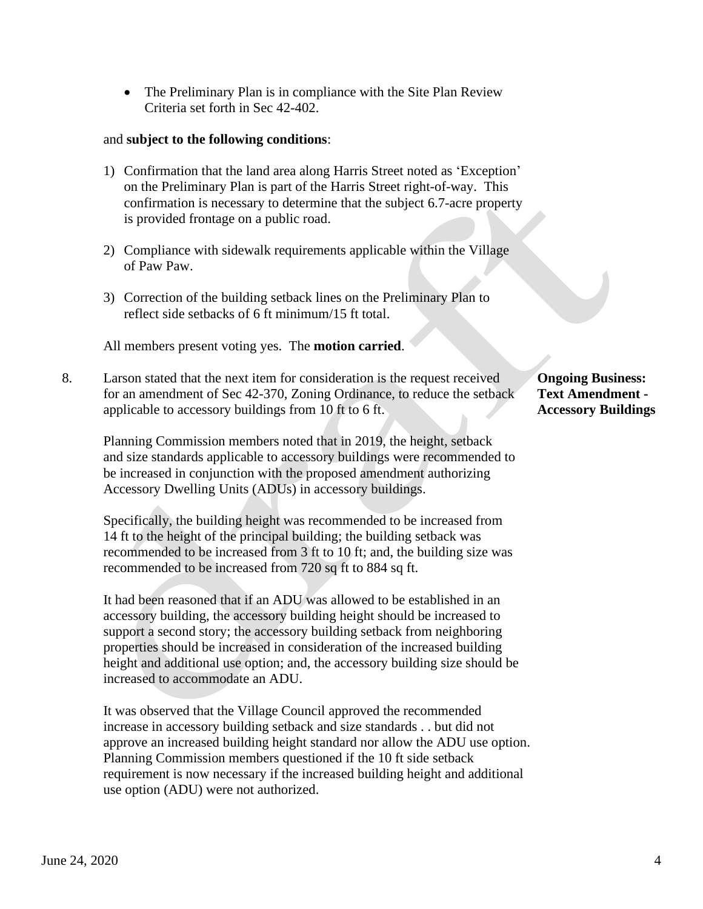• The Preliminary Plan is in compliance with the Site Plan Review Criteria set forth in Sec 42-402.

## and **subject to the following conditions**:

- 1) Confirmation that the land area along Harris Street noted as 'Exception' on the Preliminary Plan is part of the Harris Street right-of-way. This confirmation is necessary to determine that the subject 6.7-acre property is provided frontage on a public road.
- 2) Compliance with sidewalk requirements applicable within the Village of Paw Paw.
- 3) Correction of the building setback lines on the Preliminary Plan to reflect side setbacks of 6 ft minimum/15 ft total.

All members present voting yes. The **motion carried**.

8. Larson stated that the next item for consideration is the request received **Ongoing Business:** for an amendment of Sec 42-370, Zoning Ordinance, to reduce the setback **Text Amendment**  applicable to accessory buildings from 10 ft to 6 ft. **Accessory Buildings**

 Planning Commission members noted that in 2019, the height, setback and size standards applicable to accessory buildings were recommended to be increased in conjunction with the proposed amendment authorizing Accessory Dwelling Units (ADUs) in accessory buildings.

 Specifically, the building height was recommended to be increased from 14 ft to the height of the principal building; the building setback was recommended to be increased from 3 ft to 10 ft; and, the building size was recommended to be increased from 720 sq ft to 884 sq ft.

 It had been reasoned that if an ADU was allowed to be established in an accessory building, the accessory building height should be increased to support a second story; the accessory building setback from neighboring properties should be increased in consideration of the increased building height and additional use option; and, the accessory building size should be increased to accommodate an ADU.

 It was observed that the Village Council approved the recommended increase in accessory building setback and size standards . . but did not approve an increased building height standard nor allow the ADU use option. Planning Commission members questioned if the 10 ft side setback requirement is now necessary if the increased building height and additional use option (ADU) were not authorized.